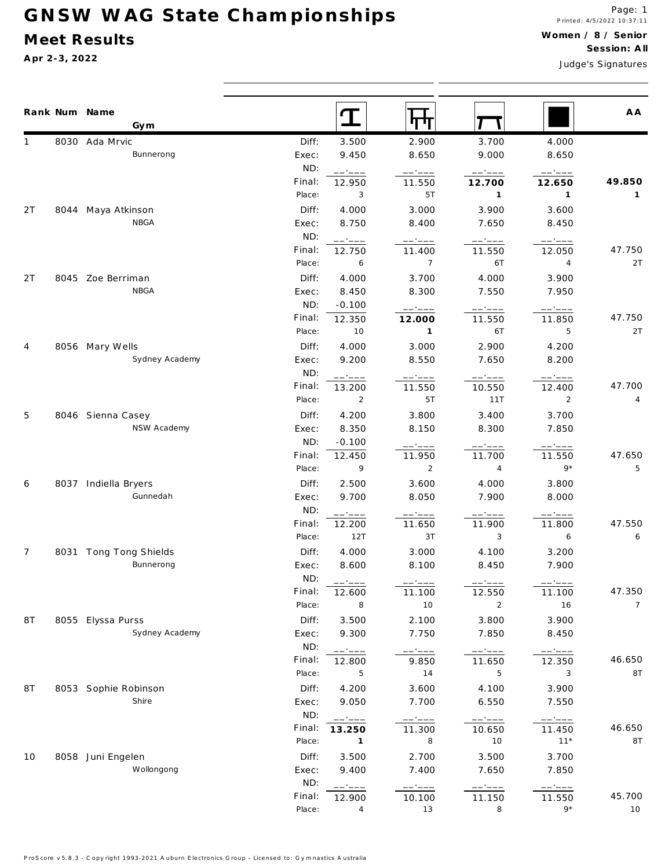## GNSW WAG State Championships

### Meet Results

Apr 2-3, 2022

Judge's Signatures

|     | Rank Num Name<br>Gym                       |                | T                | पण             |                  |                  | A A             |
|-----|--------------------------------------------|----------------|------------------|----------------|------------------|------------------|-----------------|
|     | 8030 Ada Mrvic                             | Diff:          | 3.500            | 2.900          | 3.700            | 4.000            |                 |
|     | Bunnerong                                  | Exec:          | 9.450            | 8.650          | 9.000            | 8.650            |                 |
|     |                                            | ND:            | ------           | ------         | -- ----          | ------           |                 |
|     |                                            | Final:         | 12.950           | 11.550         | 12.700           | 12.650           | 49.850          |
|     |                                            | Place:         | 3                | 5T             | $\mathbf{1}$     | $\mathbf{1}$     | $\mathbf{1}$    |
| 2 T | 8044 Maya Atkinson                         | Diff:          | 4.000            | 3.000          | 3.900            | 3.600            |                 |
|     | NBGA                                       | Exec:          | 8.750            | 8.400          | 7.650            | 8.450            |                 |
|     |                                            | ND:            | ------           |                |                  |                  |                 |
|     |                                            | Final:         | 12.750           | 11.400         | 11.550           | 12.050           | 47.750          |
|     |                                            | Place:         | 6                | $\overline{7}$ | 6T               | $\overline{4}$   | 2T              |
| 2T  | 8045 Zoe Berriman                          | Diff:          | 4.000            | 3.700          | 4.000            | 3.900            |                 |
|     | <b>NBGA</b>                                | Exec:          | 8.450            | 8.300          | 7.550            | 7.950            |                 |
|     |                                            | ND:            | $-0.100$         | ------         | ------           | -- ----          |                 |
|     |                                            | Final:         | 12.350           | 12.000         | 11.550           | 11.850           | 47.750          |
|     |                                            | Place:         | 10               | $\mathbf{1}$   | 6T               | 5                | 2T              |
| 4   | 8056 Mary Wells                            | Diff:          | 4.000            | 3.000          | 2.900            | 4.200            |                 |
|     | Sydney Academy                             | Exec:          | 9.200            | 8.550          | 7.650            | 8.200            |                 |
|     |                                            | ND:            | ------           | ------         | ------           | ------           |                 |
|     |                                            | Final:         | 13.200           | 11.550         | 10.550           | 12.400           | 47.700          |
|     |                                            | Place:         | $\overline{2}$   | 5T             | 11T              | $\overline{2}$   | 4               |
| 5   | 8046 Sienna Casey                          | Diff:          | 4.200            | 3.800          | 3.400            | 3.700            |                 |
|     | NSW Academy                                | Exec:          | 8.350            | 8.150          | 8.300            | 7.850            |                 |
|     |                                            | ND:            | $-0.100$         | ------         | ------           | -----            |                 |
|     |                                            | Final:         | 12.450           | 11.950         | 11.700           | 11.550           | 47.650          |
|     |                                            | Place:         | 9                | $\overline{2}$ | $\overline{4}$   | $9*$             | 5               |
| 6   | 8037 Indiella Bryers                       | Diff:          | 2.500            | 3.600          | 4.000            | 3.800            |                 |
|     | Gunnedah                                   | Exec:<br>ND:   | 9.700            | 8.050          | 7.900            | 8.000            |                 |
|     |                                            | Final:         | ------           |                | - ----           |                  | 47.550          |
|     |                                            | Place:         | 12.200<br>12T    | 11.650<br>3T   | 11.900<br>3      | 11.800<br>6      | 6               |
|     |                                            |                |                  |                |                  |                  |                 |
| 7   | 8031 Tong Tong Shields<br><b>Bunnerong</b> | Diff:<br>Exec: | 4.000<br>8.600   | 3.000<br>8.100 | 4.100<br>8.450   | 3.200<br>7.900   |                 |
|     |                                            | ND:            |                  |                |                  |                  |                 |
|     |                                            | Final:         | ------<br>12.600 | 11.100         | 12.550           | 11.100           | 47.350          |
|     |                                            | Place:         | 8                | 10             | $\overline{2}$   | 16               | $7\overline{ }$ |
| 8T  | 8055 Elyssa Purss                          | Diff:          | 3.500            | 2.100          | 3.800            | 3.900            |                 |
|     | Sydney Academy                             | Exec:          | 9.300            | 7.750          | 7.850            | 8.450            |                 |
|     |                                            | ND:            |                  |                |                  |                  |                 |
|     |                                            | Final:         | ------<br>12.800 | -----<br>9.850 | ------<br>11.650 | ------<br>12.350 | 46.650          |
|     |                                            | Place:         | 5                | 14             | 5                | 3                | 8T              |
| 8T  | 8053 Sophie Robinson                       | Diff:          | 4.200            | 3.600          | 4.100            | 3.900            |                 |
|     | Shire                                      | Exec:          | 9.050            | 7.700          | 6.550            | 7.550            |                 |
|     |                                            | ND:            | ------           | ------         | ------           | ------           |                 |
|     |                                            | Final:         | 13.250           | 11.300         | 10.650           | 11.450           | 46.650          |
|     |                                            | Place:         | $\overline{1}$   | 8              | 10               | $11*$            | 8T              |
| 10  | 8058 Juni Engelen                          | Diff:          | 3.500            | 2.700          | 3.500            | 3.700            |                 |
|     | Wollongong                                 | Exec:          | 9.400            | 7.400          | 7.650            | 7.850            |                 |
|     |                                            | ND:            | ------           | -----          | ------           |                  |                 |
|     |                                            | Final:         | 12.900           | 10.100         | 11.150           | 11.550           | 45.700          |
|     |                                            | Place:         | 4                | 13             | 8                | $9*$             | 10              |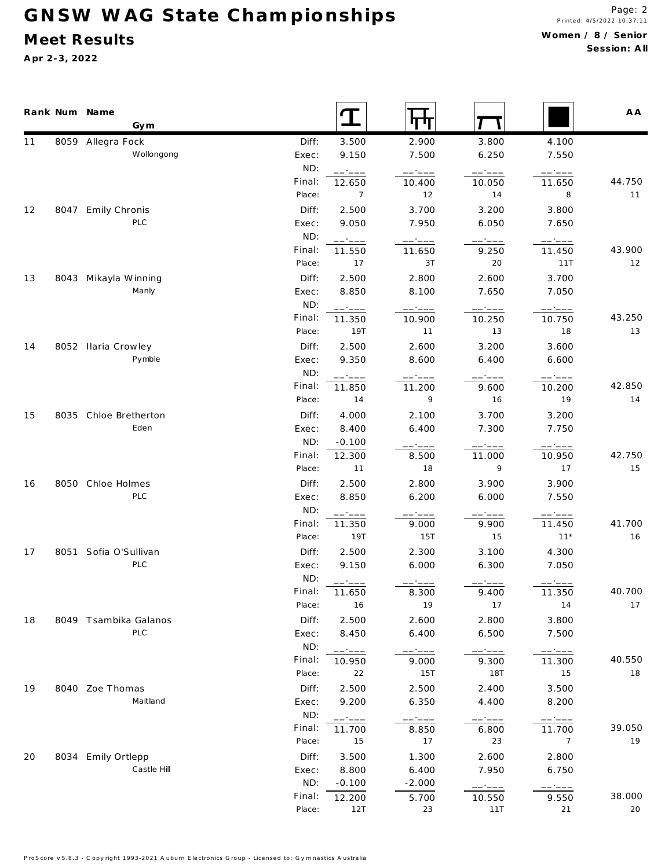# GNSW WAG State Championships

### **M eet Results**

**A pr 2-3, 2022**

 $\blacksquare$ 

|    | Rank Num Name<br>Gym  |        |                                                         | पप                        |           |                                                | A A    |
|----|-----------------------|--------|---------------------------------------------------------|---------------------------|-----------|------------------------------------------------|--------|
| 11 | 8059 Allegra Fock     | Diff:  | 3.500                                                   | 2.900                     | 3.800     | 4.100                                          |        |
|    | Wollongong            | Exec:  | 9.150                                                   | 7.500                     | 6.250     | 7.550                                          |        |
|    |                       | ND:    | ------                                                  | ------                    | ------    | ------                                         |        |
|    |                       | Final: | 12.650                                                  | 10.400                    | 10.050    | 11.650                                         | 44.750 |
|    |                       | Place: | $\overline{7}$                                          | 12                        | 14        | 8                                              | 11     |
| 12 | 8047 Emily Chronis    | Diff:  | 2.500                                                   | 3.700                     | 3.200     | 3.800                                          |        |
|    | PLC                   | Exec:  | 9.050                                                   | 7.950                     | 6.050     | 7.650                                          |        |
|    |                       | ND:    | ------                                                  | ------                    | ------    | ------                                         |        |
|    |                       | Final: | 11.550                                                  | 11.650                    | 9.250     | 11.450                                         | 43.900 |
|    |                       | Place: | 17                                                      | 3T                        | 20        | 11T                                            | 12     |
| 13 | 8043 Mikayla Winning  | Diff:  | 2.500                                                   | 2.800                     | 2.600     | 3.700                                          |        |
|    | Manly                 | Exec:  | 8.850                                                   | 8.100                     | 7.650     | 7.050                                          |        |
|    |                       | ND:    | $\begin{tabular}{cc} - & - & - \\ \hline \end{tabular}$ | $\qquad \qquad - - - - -$ | $---:---$ | $---:---$                                      |        |
|    |                       | Final: | 11.350                                                  | 10.900                    | 10.250    | 10.750                                         | 43.250 |
|    |                       | Place: | 19T                                                     | 11                        | 13        | 18                                             | 13     |
| 14 | 8052 Ilaria Crowley   | Diff:  | 2.500                                                   | 2.600                     | 3.200     | 3.600                                          |        |
|    | Pymble                | Exec:  | 9.350                                                   | 8.600                     | 6.400     | 6.600                                          |        |
|    |                       | ND:    | ------                                                  | ------                    | ------    | ------                                         |        |
|    |                       | Final: | 11.850                                                  | 11.200                    | 9.600     | 10.200                                         | 42.850 |
|    |                       | Place: | 14                                                      | 9                         | 16        | 19                                             | 14     |
| 15 | 8035 Chloe Bretherton | Diff:  | 4.000                                                   | 2.100                     | 3.700     | 3.200                                          |        |
|    | Eden                  | Exec:  | 8.400                                                   | 6.400                     | 7.300     | 7.750                                          |        |
|    |                       | ND:    | $-0.100$                                                | ------                    | ------    |                                                |        |
|    |                       | Final: | 12.300                                                  | 8.500                     | 11.000    | 10.950                                         | 42.750 |
|    |                       | Place: | 11                                                      | 18                        | 9         | 17                                             | 15     |
| 16 | 8050 Chloe Holmes     | Diff:  | 2.500                                                   | 2.800                     | 3.900     | 3.900                                          |        |
|    | PLC                   | Exec:  | 8.850                                                   | 6.200                     | 6.000     | 7.550                                          |        |
|    |                       | ND:    | ------                                                  | ------                    | -- ----   | ------                                         |        |
|    |                       | Final: | 11.350                                                  | 9.000                     | 9.900     | 11.450                                         | 41.700 |
|    |                       | Place: | 19T                                                     | 15T                       | 15        | $11*$                                          | 16     |
| 17 | 8051 Sofia O'Sullivan | Diff:  | 2.500                                                   | 2.300                     | 3.100     | 4.300                                          |        |
|    | PLC                   | Exec:  | 9.150                                                   | 6.000                     | 6.300     | 7.050                                          |        |
|    |                       | ND:    |                                                         |                           |           |                                                |        |
|    |                       | Final: | 11.650                                                  | 8.300                     | 9.400     | 11.350                                         | 40.700 |
|    |                       | Place: | 16                                                      | 19                        | 17        | 14                                             | 17     |
| 18 | 8049 Tsambika Galanos | Diff:  | 2.500                                                   | 2.600                     | 2.800     | 3.800                                          |        |
|    | PLC                   | Exec:  | 8.450                                                   | 6.400                     | 6.500     | 7.500                                          |        |
|    |                       | ND:    | ------                                                  | ------                    | $-- - -$  | $\qquad \qquad \  \  \, - \, - \, - \, - \, -$ |        |
|    |                       | Final: | 10.950                                                  | 9.000                     | 9.300     | 11.300                                         | 40.550 |
|    |                       | Place: | 22                                                      | 15T                       | 18T       | 15                                             | 18     |
| 19 | 8040 Zoe Thomas       | Diff:  | 2.500                                                   | 2.500                     | 2.400     | 3.500                                          |        |
|    | Maitland              | Exec:  | 9.200                                                   | 6.350                     | 4.400     | 8.200                                          |        |
|    |                       | ND:    | ------                                                  | ------                    | $----$    | ------                                         |        |
|    |                       | Final: | 11.700                                                  | 8.850                     | 6.800     | 11.700                                         | 39.050 |
|    |                       | Place: | 15                                                      | 17                        | 23        | $7\phantom{.0}$                                | 19     |
| 20 | 8034 Emily Ortlepp    | Diff:  | 3.500                                                   | 1.300                     | 2.600     | 2.800                                          |        |
|    | Castle Hill           | Exec:  | 8.800                                                   | 6.400                     | 7.950     | 6.750                                          |        |
|    |                       | ND:    | $-0.100$                                                | $-2.000$                  | ------    | $\qquad \qquad \  \  \, - \, - \, - \, - \, -$ |        |
|    |                       | Final: | 12.200                                                  | 5.700                     | 10.550    | 9.550                                          | 38.000 |
|    |                       | Place: | 12T                                                     | 23                        | 11T       | 21                                             | 20     |